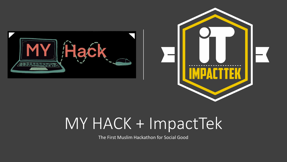



# MY HACK + ImpactTek

The First Muslim Hackathon for Social Good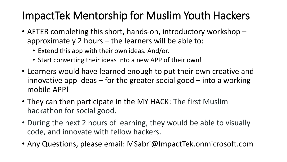- AFTER completing this short, hands-on, introductory workshop approximately 2 hours – the learners will be able to:
	- Extend this app with their own ideas. And/or,
	- Start converting their ideas into a new APP of their own!
- Learners would have learned enough to put their own creative and innovative app ideas  $-$  for the greater social good  $-$  into a working mobile APP!
- They can then participate in the MY HACK: The first Muslim hackathon for social good.
- During the next 2 hours of learning, they would be able to visually code, and innovate with fellow hackers.
- Any Questions, please email: MSabri@ImpactTek.onmicrosoft.com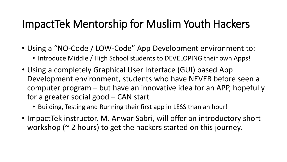- Using a "NO-Code / LOW-Code" App Development environment to:
	- Introduce Middle / High School students to DEVELOPING their own Apps!
- Using a completely Graphical User Interface (GUI) based App Development environment, students who have NEVER before seen a computer program – but have an innovative idea for an APP, hopefully for a greater social good – CAN start
	- Building, Testing and Running their first app in LESS than an hour!
- ImpactTek instructor, M. Anwar Sabri, will offer an introductory short workshop ( $\sim$  2 hours) to get the hackers started on this journey.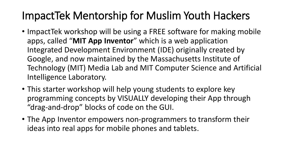- ImpactTek workshop will be using a FREE software for making mobile apps, called "**MIT App Inventor**" which is a web application Integrated Development Environment (IDE) originally created by Google, and now maintained by the Massachusetts Institute of Technology (MIT) Media Lab and MIT Computer Science and Artificial Intelligence Laboratory.
- This starter workshop will help young students to explore key programming concepts by VISUALLY developing their App through "drag-and-drop" blocks of code on the GUI.
- The App Inventor empowers non-programmers to transform their ideas into real apps for mobile phones and tablets.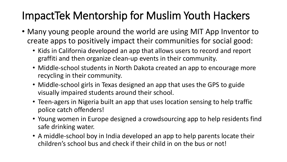- Many young people around the world are using MIT App Inventor to create apps to positively impact their communities for social good:
	- Kids in California developed an app that allows users to record and report graffiti and then organize clean-up events in their community.
	- Middle-school students in North Dakota created an app to encourage more recycling in their community.
	- Middle-school girls in Texas designed an app that uses the GPS to guide visually impaired students around their school.
	- Teen-agers in Nigeria built an app that uses location sensing to help traffic police catch offenders!
	- Young women in Europe designed a crowdsourcing app to help residents find safe drinking water.
	- A middle-school boy in India developed an app to help parents locate their children's school bus and check if their child in on the bus or not!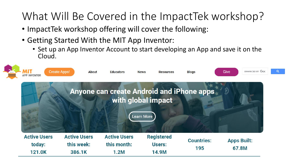### What Will Be Covered in the ImpactTek workshop?

- ImpactTek workshop offering will cover the following:
- Getting Started With the MIT App Inventor:
	- Set up an App Inventor Account to start developing an App and save it on the Cloud.

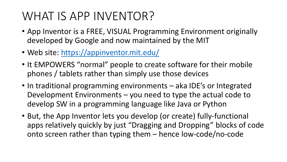## WHAT IS APP INVENTOR?

- App Inventor is a FREE, VISUAL Programming Environment originally developed by Google and now maintained by the MIT
- Web site:<https://appinventor.mit.edu/>
- It EMPOWERS "normal" people to create software for their mobile phones / tablets rather than simply use those devices
- In traditional programming environments aka IDE's or Integrated Development Environments – you need to type the actual code to develop SW in a programming language like Java or Python
- But, the App Inventor lets you develop (or create) fully-functional apps relatively quickly by just "Dragging and Dropping" blocks of code onto screen rather than typing them – hence low-code/no-code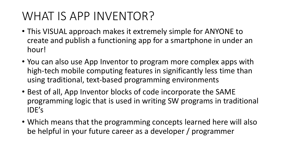## WHAT IS APP INVENTOR?

- This VISUAL approach makes it extremely simple for ANYONE to create and publish a functioning app for a smartphone in under an hour!
- You can also use App Inventor to program more complex apps with high-tech mobile computing features in significantly less time than using traditional, text-based programming environments
- Best of all, App Inventor blocks of code incorporate the SAME programming logic that is used in writing SW programs in traditional IDE's
- Which means that the programming concepts learned here will also be helpful in your future career as a developer / programmer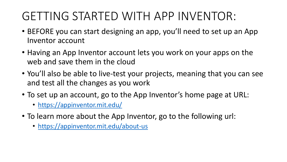## GETTING STARTED WITH APP INVENTOR:

- BEFORE you can start designing an app, you'll need to set up an App Inventor account
- Having an App Inventor account lets you work on your apps on the web and save them in the cloud
- You'll also be able to live-test your projects, meaning that you can see and test all the changes as you work
- To set up an account, go to the App Inventor's home page at URL:
	- <https://appinventor.mit.edu/>
- To learn more about the App Inventor, go to the following url:
	- <https://appinventor.mit.edu/about-us>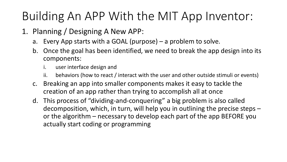- 1. Planning / Designing A New APP:
	- a. Every App starts with a GOAL (purpose) a problem to solve.
	- b. Once the goal has been identified, we need to break the app design into its components:
		- i. user interface design and
		- ii. behaviors (how to react / interact with the user and other outside stimuli or events)
	- c. Breaking an app into smaller components makes it easy to tackle the creation of an app rather than trying to accomplish all at once
	- d. This process of "dividing-and-conquering" a big problem is also called decomposition, which, in turn, will help you in outlining the precise steps – or the algorithm – necessary to develop each part of the app BEFORE you actually start coding or programming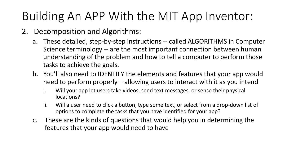- 2. Decomposition and Algorithms:
	- a. These detailed, step-by-step instructions -- called ALGORITHMS in Computer Science terminology -- are the most important connection between human understanding of the problem and how to tell a computer to perform those tasks to achieve the goals.
	- b. You'll also need to IDENTIFY the elements and features that your app would need to perform properly – allowing users to interact with it as you intend
		- i. Will your app let users take videos, send text messages, or sense their physical locations?
		- ii. Will a user need to click a button, type some text, or select from a drop-down list of options to complete the tasks that you have identified for your app?
	- c. These are the kinds of questions that would help you in determining the features that your app would need to have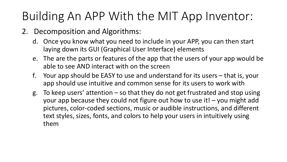- 2. Decomposition and Algorithms:
	- d. Once you know what you need to include in your APP, you can then start laying down its GUI (Graphical User Interface) elements
	- e. The are the parts or features of the app that the users of your app would be able to see AND interact with on the screen
	- f. Your app should be EASY to use and understand for its users that is, your app should use intuitive and common sense for its users to work with
	- g. To keep users' attention so that they do not get frustrated and stop using your app because they could not figure out how to use it! – you might add pictures, color-coded sections, music or audible instructions, and different text styles, sizes, fonts, and colors to help your users in intuitively using them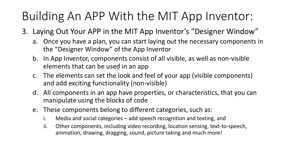- 3. Laying Out Your APP in the MIT App Inventor's "Designer Window"
	- a. Once you have a plan, you can start laying out the necessary components in the "Designer Window" of the App Inventor
	- b. In App Inventor, components consist of all visible, as well as non-visible elements that can be used in an app
	- c. The elements can set the look and feel of your app (visible components) and add exciting functionality (non-visible)
	- d. All components in an app have properties, or characteristics, that you can manipulate using the blocks of code
	- e. These components belong to different categories, such as:
		- i. Media and social categories add speech recognition and texting, and
		- ii. Other components, including video recording, location sensing, text-to-speech, animation, drawing, dragging, sound, picture taking and much more!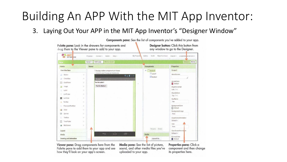3. Laying Out Your APP in the MIT App Inventor's "Designer Window"



Components pane: See the list of components you've added to your app.

Viewer pane: Drag components here from the Palette pane to add them to your app and see how they'll look on your app's screen.

Media pane: See the list of picture, sound, and other media files you've uploaded to your app.

Properties pane: Click a component and then change its properties here.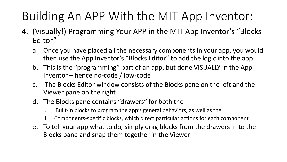- 4. (Visually!) Programming Your APP in the MIT App Inventor's "Blocks Editor"
	- a. Once you have placed all the necessary components in your app, you would then use the App Inventor's "Blocks Editor" to add the logic into the app
	- b. This is the "programming" part of an app, but done VISUALLY in the App Inventor – hence no-code / low-code
	- c. The Blocks Editor window consists of the Blocks pane on the left and the Viewer pane on the right
	- d. The Blocks pane contains "drawers" for both the
		- i. Built-in blocks to program the app's general behaviors, as well as the
		- ii. Components-specific blocks, which direct particular actions for each component
	- e. To tell your app what to do, simply drag blocks from the drawers in to the Blocks pane and snap them together in the Viewer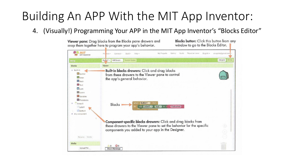4. (Visually!) Programming Your APP in the MIT App Inventor's "Blocks Editor"

**Blocks button:** Click this button from any

Viewer pane: Drag blocks from the Blocks pane drawers and snap them together here to program your app's behavior.

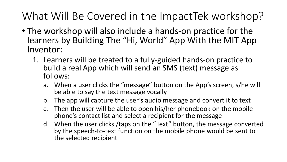What Will Be Covered in the ImpactTek workshop?

- The workshop will also include a hands-on practice for the learners by Building The "Hi, World" App With the MIT App Inventor:
	- 1. Learners will be treated to a fully-guided hands-on practice to build a real App which will send an SMS (text) message as follows:
		- a. When a user clicks the "message" button on the App's screen, s/he will be able to say the text message vocally
		- b. The app will capture the user's audio message and convert it to text
		- c. Then the user will be able to open his/her phonebook on the mobile phone's contact list and select a recipient for the message
		- d. When the user clicks /taps on the "Text" button, the message converted by the speech-to-text function on the mobile phone would be sent to the selected recipient